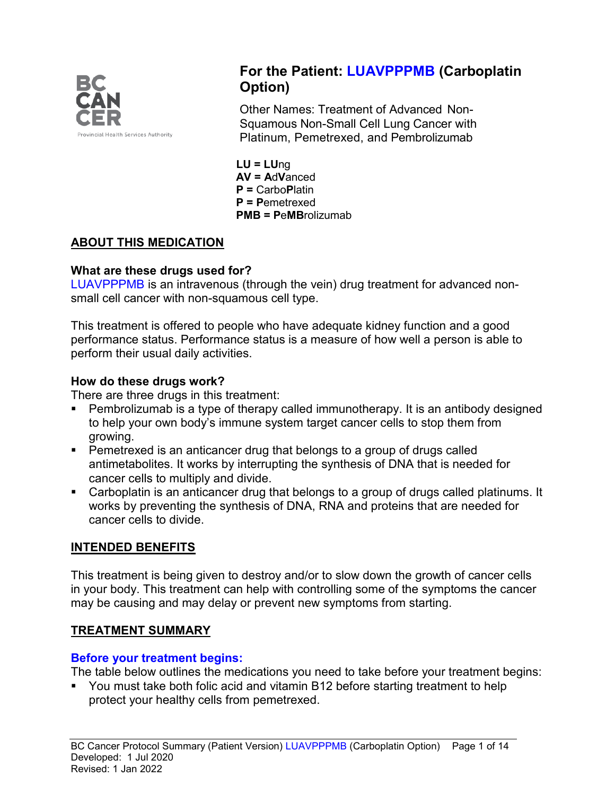

# **For the Patient: LUAVPPPMB (Carboplatin Option)**

Other Names: Treatment of Advanced Non-Squamous Non-Small Cell Lung Cancer with Platinum, Pemetrexed, and Pembrolizumab

**LU = LU**ng **AV = A**d**V**anced **P =** Carbo**P**latin **P = P**emetrexed **PMB = P**e**MB**rolizumab

## **ABOUT THIS MEDICATION**

### **What are these drugs used for?**

LUAVPPPMB is an intravenous (through the vein) drug treatment for advanced nonsmall cell cancer with non-squamous cell type.

This treatment is offered to people who have adequate kidney function and a good performance status. Performance status is a measure of how well a person is able to perform their usual daily activities.

### **How do these drugs work?**

There are three drugs in this treatment:

- Pembrolizumab is a type of therapy called immunotherapy. It is an antibody designed to help your own body's immune system target cancer cells to stop them from growing.
- **Pemetrexed is an anticancer drug that belongs to a group of drugs called** antimetabolites. It works by interrupting the synthesis of DNA that is needed for cancer cells to multiply and divide.
- Carboplatin is an anticancer drug that belongs to a group of drugs called platinums. It works by preventing the synthesis of DNA, RNA and proteins that are needed for cancer cells to divide.

### **INTENDED BENEFITS**

This treatment is being given to destroy and/or to slow down the growth of cancer cells in your body. This treatment can help with controlling some of the symptoms the cancer may be causing and may delay or prevent new symptoms from starting.

### **TREATMENT SUMMARY**

### **Before your treatment begins:**

The table below outlines the medications you need to take before your treatment begins:

■ You must take both folic acid and vitamin B12 before starting treatment to help protect your healthy cells from pemetrexed.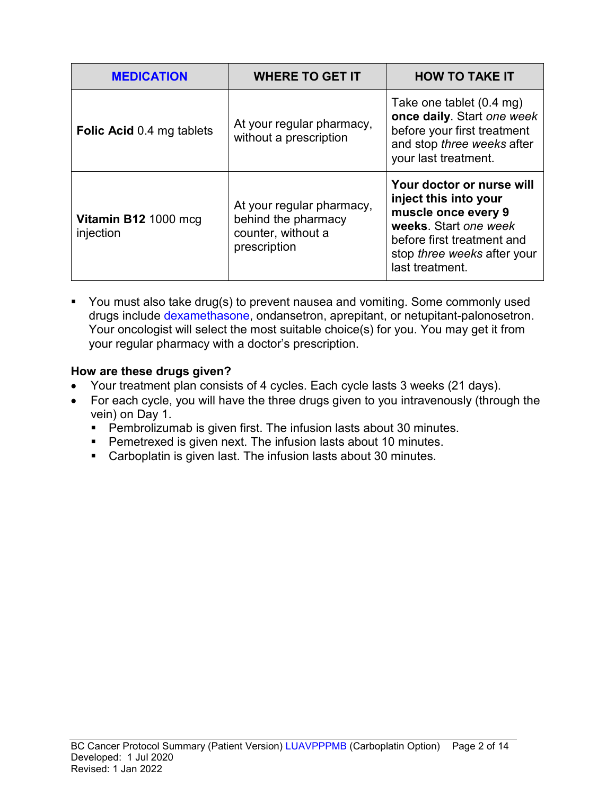| <b>MEDICATION</b>                 | <b>WHERE TO GET IT</b>                                                                 | <b>HOW TO TAKE IT</b>                                                                                                                                                              |
|-----------------------------------|----------------------------------------------------------------------------------------|------------------------------------------------------------------------------------------------------------------------------------------------------------------------------------|
| <b>Folic Acid 0.4 mg tablets</b>  | At your regular pharmacy,<br>without a prescription                                    | Take one tablet (0.4 mg)<br>once daily. Start one week<br>before your first treatment<br>and stop three weeks after<br>your last treatment.                                        |
| Vitamin B12 1000 mcg<br>injection | At your regular pharmacy,<br>behind the pharmacy<br>counter, without a<br>prescription | Your doctor or nurse will<br>inject this into your<br>muscle once every 9<br>weeks. Start one week<br>before first treatment and<br>stop three weeks after your<br>last treatment. |

• You must also take drug(s) to prevent nausea and vomiting. Some commonly used drugs include dexamethasone, ondansetron, aprepitant, or netupitant-palonosetron. Your oncologist will select the most suitable choice(s) for you. You may get it from your regular pharmacy with a doctor's prescription.

### **How are these drugs given?**

- Your treatment plan consists of 4 cycles. Each cycle lasts 3 weeks (21 days).
- For each cycle, you will have the three drugs given to you intravenously (through the vein) on Day 1.
	- Pembrolizumab is given first. The infusion lasts about 30 minutes.
	- **Pemetrexed is given next. The infusion lasts about 10 minutes.**
	- Carboplatin is given last. The infusion lasts about 30 minutes.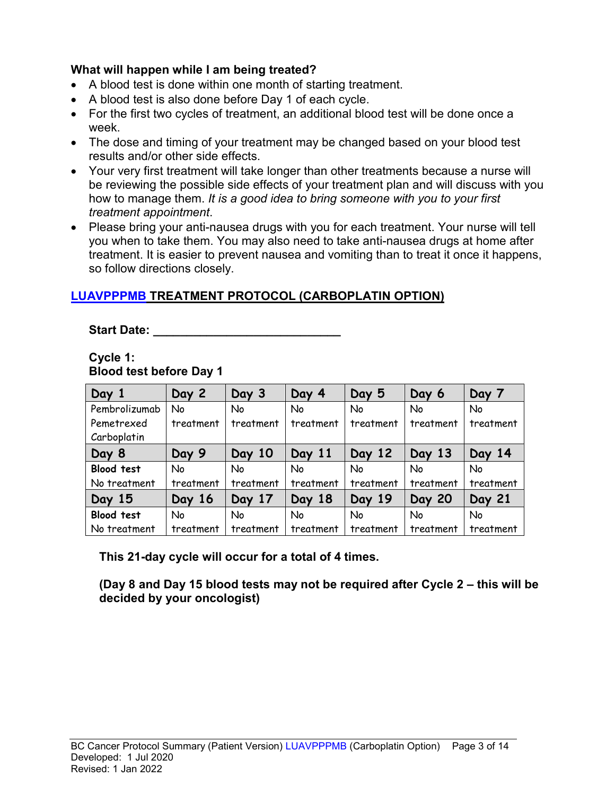### **What will happen while I am being treated?**

- A blood test is done within one month of starting treatment.
- A blood test is also done before Day 1 of each cycle.
- For the first two cycles of treatment, an additional blood test will be done once a week.
- The dose and timing of your treatment may be changed based on your blood test results and/or other side effects.
- Your very first treatment will take longer than other treatments because a nurse will be reviewing the possible side effects of your treatment plan and will discuss with you how to manage them. *It is a good idea to bring someone with you to your first treatment appointment*.
- Please bring your anti-nausea drugs with you for each treatment. Your nurse will tell you when to take them. You may also need to take anti-nausea drugs at home after treatment. It is easier to prevent nausea and vomiting than to treat it once it happens, so follow directions closely.

## **LUAVPPPMB TREATMENT PROTOCOL (CARBOPLATIN OPTION)**

Start Date: **With Start Date: Start Date: All 2008** 

#### **Cycle 1: Blood test before Day 1**

| Day 1             | Day 2     | Day 3     | Day 4     | Day 5     | Day 6         | Day 7     |
|-------------------|-----------|-----------|-----------|-----------|---------------|-----------|
| Pembrolizumab     | No        | <b>No</b> | No        | No        | No            | <b>No</b> |
| Pemetrexed        | treatment | treatment | treatment | treatment | treatment     | treatment |
| Carboplatin       |           |           |           |           |               |           |
| Day 8             | Day 9     | Day 10    | Day 11    | Day 12    | Day 13        | Day 14    |
| <b>Blood test</b> | No        | No        | No        | No        | No            | <b>No</b> |
| No treatment      | treatment | treatment | treatment | treatment | treatment     | treatment |
| Day 15            | Day 16    | Day 17    | Day 18    | Day 19    | <b>Day 20</b> | Day 21    |
| <b>Blood test</b> | No        | <b>No</b> | No        | No        | <b>No</b>     | <b>No</b> |
| No treatment      | treatment | treatment | treatment | treatment | treatment     | treatment |

**This 21-day cycle will occur for a total of 4 times.**

**(Day 8 and Day 15 blood tests may not be required after Cycle 2 – this will be decided by your oncologist)**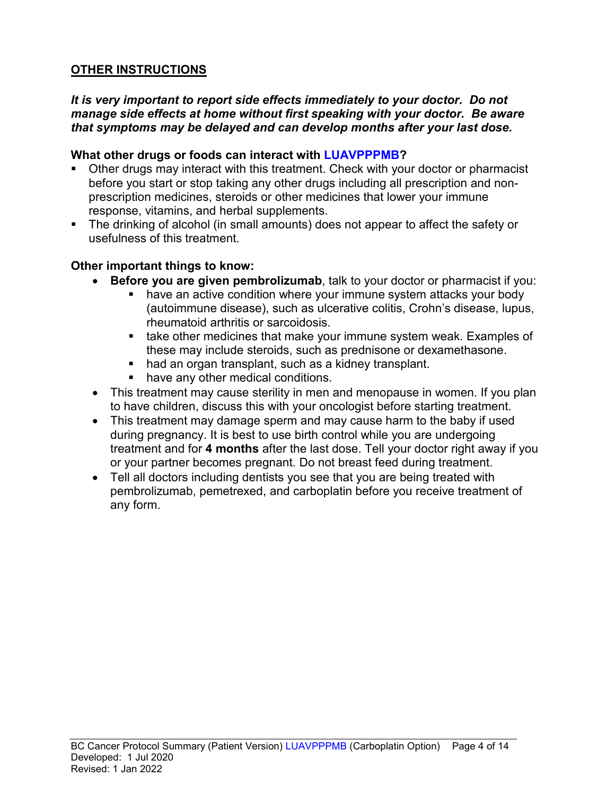## **OTHER INSTRUCTIONS**

### *It is very important to report side effects immediately to your doctor. Do not manage side effects at home without first speaking with your doctor. Be aware that symptoms may be delayed and can develop months after your last dose.*

### **What other drugs or foods can interact with LUAVPPPMB?**

- Other drugs may interact with this treatment. Check with your doctor or pharmacist before you start or stop taking any other drugs including all prescription and nonprescription medicines, steroids or other medicines that lower your immune response, vitamins, and herbal supplements.
- The drinking of alcohol (in small amounts) does not appear to affect the safety or usefulness of this treatment.

### **Other important things to know:**

- **Before you are given pembrolizumab**, talk to your doctor or pharmacist if you:
	- have an active condition where your immune system attacks your body (autoimmune disease), such as ulcerative colitis, Crohn's disease, lupus, rheumatoid arthritis or sarcoidosis.
	- **take other medicines that make your immune system weak. Examples of** these may include steroids, such as prednisone or dexamethasone.
	- had an organ transplant, such as a kidney transplant.
	- **have any other medical conditions.**
- This treatment may cause sterility in men and menopause in women. If you plan to have children, discuss this with your oncologist before starting treatment.
- This treatment may damage sperm and may cause harm to the baby if used during pregnancy. It is best to use birth control while you are undergoing treatment and for **4 months** after the last dose. Tell your doctor right away if you or your partner becomes pregnant. Do not breast feed during treatment.
- Tell all doctors including dentists you see that you are being treated with pembrolizumab, pemetrexed, and carboplatin before you receive treatment of any form.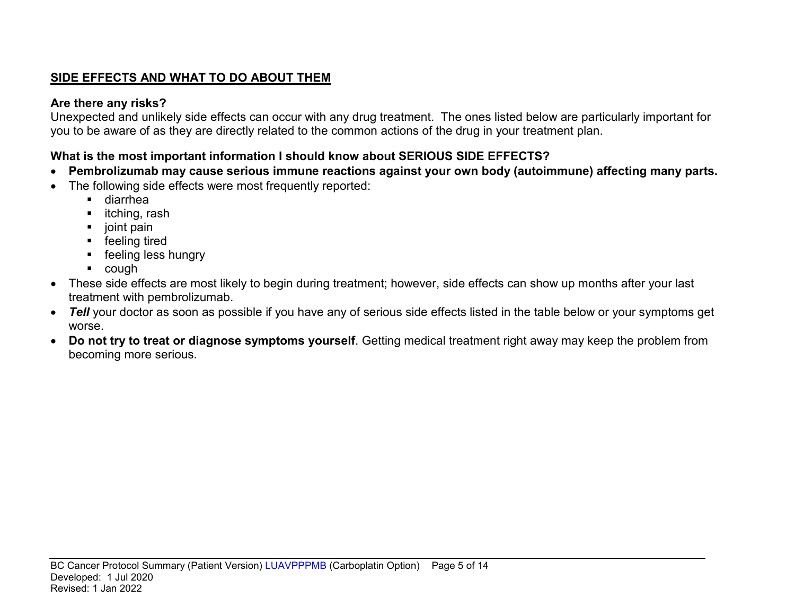## **SIDE EFFECTS AND WHAT TO DO ABOUT THEM**

## **Are there any risks?**

Unexpected and unlikely side effects can occur with any drug treatment. The ones listed below are particularly important for you to be aware of as they are directly related to the common actions of the drug in your treatment plan.

## **What is the most important information I should know about SERIOUS SIDE EFFECTS?**

- **Pembrolizumab may cause serious immune reactions against your own body (autoimmune) affecting many parts.**
- The following side effects were most frequently reported:
	- diarrhea
	- $\blacksquare$  itching, rash
	- joint pain
	- **F** feeling tired
	- **F** feeling less hungry
	- cough
- These side effects are most likely to begin during treatment; however, side effects can show up months after your last treatment with pembrolizumab.
- *Tell* your doctor as soon as possible if you have any of serious side effects listed in the table below or your symptoms get worse.
- **Do not try to treat or diagnose symptoms yourself**. Getting medical treatment right away may keep the problem from becoming more serious.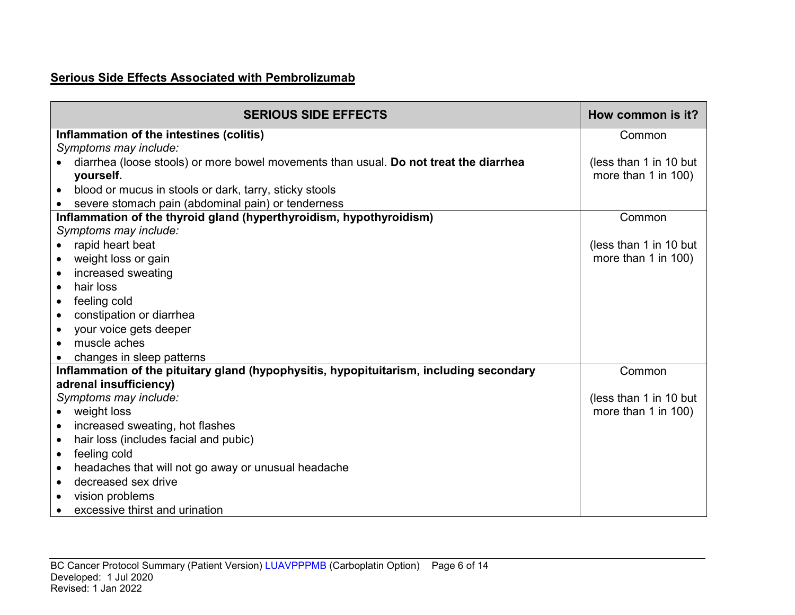### **Serious Side Effects Associated with Pembrolizumab**

| <b>SERIOUS SIDE EFFECTS</b>                                                             | How common is it?      |
|-----------------------------------------------------------------------------------------|------------------------|
| Inflammation of the intestines (colitis)                                                | Common                 |
| Symptoms may include:                                                                   |                        |
| diarrhea (loose stools) or more bowel movements than usual. Do not treat the diarrhea   | (less than 1 in 10 but |
| yourself.                                                                               | more than 1 in 100)    |
| blood or mucus in stools or dark, tarry, sticky stools<br>$\bullet$                     |                        |
| severe stomach pain (abdominal pain) or tenderness                                      |                        |
| Inflammation of the thyroid gland (hyperthyroidism, hypothyroidism)                     | Common                 |
| Symptoms may include:                                                                   |                        |
| rapid heart beat                                                                        | (less than 1 in 10 but |
| weight loss or gain<br>$\bullet$                                                        | more than 1 in 100)    |
| increased sweating<br>$\bullet$                                                         |                        |
| hair loss<br>$\bullet$                                                                  |                        |
| feeling cold<br>$\bullet$                                                               |                        |
| constipation or diarrhea<br>$\bullet$                                                   |                        |
| your voice gets deeper<br>$\bullet$                                                     |                        |
| muscle aches                                                                            |                        |
| changes in sleep patterns                                                               |                        |
| Inflammation of the pituitary gland (hypophysitis, hypopituitarism, including secondary | Common                 |
| adrenal insufficiency)                                                                  |                        |
| Symptoms may include:                                                                   | (less than 1 in 10 but |
| weight loss                                                                             | more than 1 in 100)    |
| increased sweating, hot flashes<br>$\bullet$                                            |                        |
| hair loss (includes facial and pubic)<br>$\bullet$                                      |                        |
| feeling cold<br>$\bullet$                                                               |                        |
| headaches that will not go away or unusual headache<br>$\bullet$                        |                        |
| decreased sex drive<br>$\bullet$                                                        |                        |
| vision problems                                                                         |                        |
| excessive thirst and urination                                                          |                        |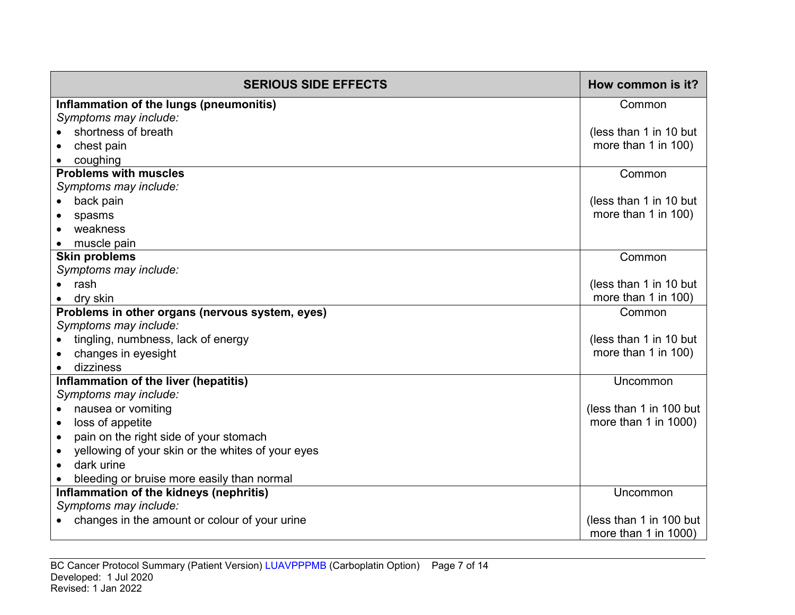| <b>SERIOUS SIDE EFFECTS</b>                                    | How common is it?       |
|----------------------------------------------------------------|-------------------------|
| Inflammation of the lungs (pneumonitis)                        | Common                  |
| Symptoms may include:                                          |                         |
| shortness of breath                                            | (less than 1 in 10 but  |
| chest pain                                                     | more than 1 in 100)     |
| coughing                                                       |                         |
| <b>Problems with muscles</b>                                   | Common                  |
| Symptoms may include:                                          |                         |
| back pain                                                      | (less than 1 in 10 but  |
| spasms                                                         | more than 1 in 100)     |
| weakness                                                       |                         |
| muscle pain                                                    |                         |
| <b>Skin problems</b>                                           | Common                  |
| Symptoms may include:                                          |                         |
| rash                                                           | (less than 1 in 10 but  |
| dry skin                                                       | more than 1 in 100)     |
| Problems in other organs (nervous system, eyes)                | Common                  |
| Symptoms may include:                                          |                         |
| tingling, numbness, lack of energy                             | (less than 1 in 10 but  |
| changes in eyesight                                            | more than 1 in 100)     |
| dizziness                                                      |                         |
| Inflammation of the liver (hepatitis)                          | Uncommon                |
| Symptoms may include:                                          |                         |
| nausea or vomiting<br>$\bullet$                                | (less than 1 in 100 but |
| loss of appetite<br>$\bullet$                                  | more than 1 in 1000)    |
| pain on the right side of your stomach<br>$\bullet$            |                         |
| yellowing of your skin or the whites of your eyes<br>$\bullet$ |                         |
| dark urine                                                     |                         |
| bleeding or bruise more easily than normal                     |                         |
| Inflammation of the kidneys (nephritis)                        | Uncommon                |
| Symptoms may include:                                          |                         |
| changes in the amount or colour of your urine                  | (less than 1 in 100 but |
|                                                                | more than 1 in 1000)    |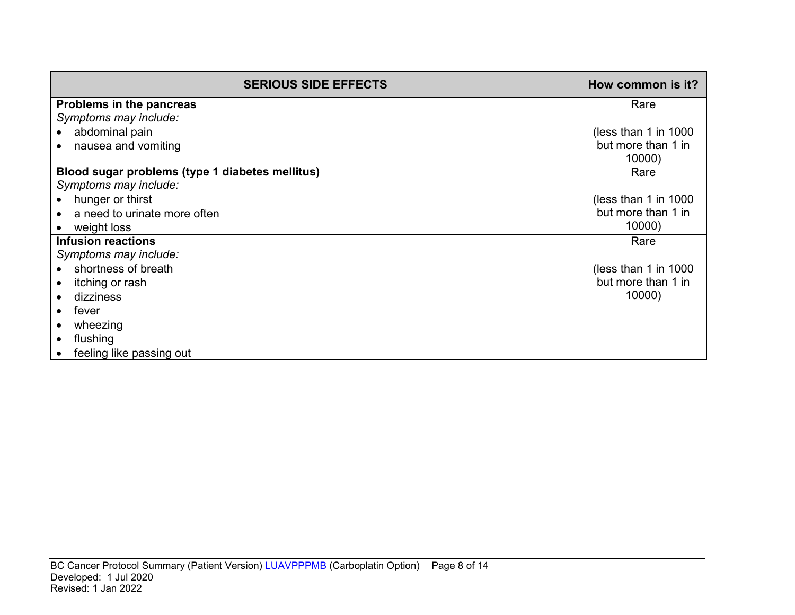| <b>SERIOUS SIDE EFFECTS</b>                     | How common is it?    |
|-------------------------------------------------|----------------------|
| Problems in the pancreas                        | Rare                 |
| Symptoms may include:                           |                      |
| abdominal pain                                  | (less than 1 in 1000 |
| nausea and vomiting                             | but more than 1 in   |
|                                                 | 10000)               |
| Blood sugar problems (type 1 diabetes mellitus) | Rare                 |
| Symptoms may include:                           |                      |
| hunger or thirst                                | (less than 1 in 1000 |
| a need to urinate more often                    | but more than 1 in   |
| weight loss                                     | 10000)               |
| <b>Infusion reactions</b>                       | Rare                 |
| Symptoms may include:                           |                      |
| shortness of breath                             | (less than 1 in 1000 |
| itching or rash                                 | but more than 1 in   |
| dizziness                                       | 10000)               |
| fever                                           |                      |
| wheezing                                        |                      |
| flushing                                        |                      |
| feeling like passing out                        |                      |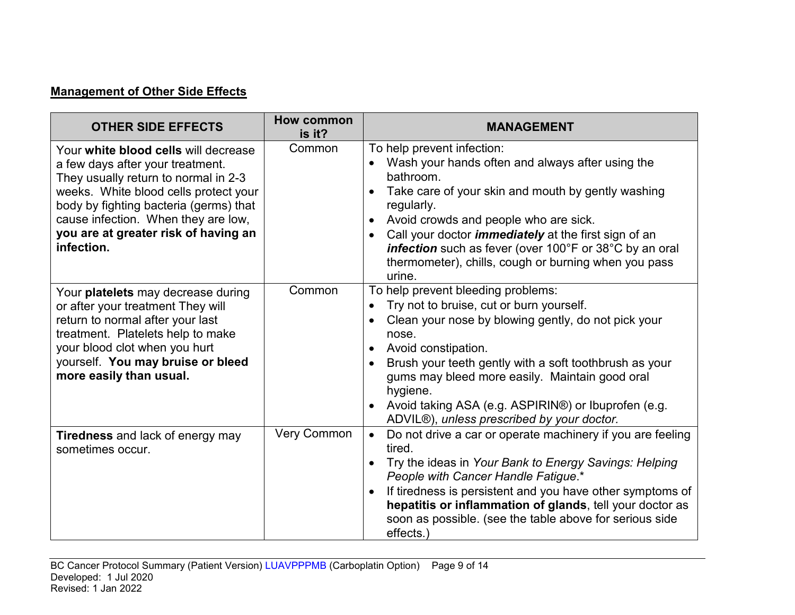# **Management of Other Side Effects**

| <b>OTHER SIDE EFFECTS</b>                                                                                                                                                                                                                                                                        | <b>How common</b><br>is it? | <b>MANAGEMENT</b>                                                                                                                                                                                                                                                                                                                                                                                                |
|--------------------------------------------------------------------------------------------------------------------------------------------------------------------------------------------------------------------------------------------------------------------------------------------------|-----------------------------|------------------------------------------------------------------------------------------------------------------------------------------------------------------------------------------------------------------------------------------------------------------------------------------------------------------------------------------------------------------------------------------------------------------|
| Your white blood cells will decrease<br>a few days after your treatment.<br>They usually return to normal in 2-3<br>weeks. White blood cells protect your<br>body by fighting bacteria (germs) that<br>cause infection. When they are low,<br>you are at greater risk of having an<br>infection. | Common                      | To help prevent infection:<br>Wash your hands often and always after using the<br>bathroom.<br>Take care of your skin and mouth by gently washing<br>regularly.<br>Avoid crowds and people who are sick.<br>Call your doctor <i>immediately</i> at the first sign of an<br>$\bullet$<br>infection such as fever (over 100°F or 38°C by an oral<br>thermometer), chills, cough or burning when you pass<br>urine. |
| Your platelets may decrease during<br>or after your treatment They will<br>return to normal after your last<br>treatment. Platelets help to make<br>your blood clot when you hurt<br>yourself. You may bruise or bleed<br>more easily than usual.                                                | Common                      | To help prevent bleeding problems:<br>Try not to bruise, cut or burn yourself.<br>Clean your nose by blowing gently, do not pick your<br>nose.<br>Avoid constipation.<br>Brush your teeth gently with a soft toothbrush as your<br>gums may bleed more easily. Maintain good oral<br>hygiene.<br>Avoid taking ASA (e.g. ASPIRIN®) or Ibuprofen (e.g.<br>ADVIL®), unless prescribed by your doctor.               |
| Tiredness and lack of energy may<br>sometimes occur.                                                                                                                                                                                                                                             | <b>Very Common</b>          | Do not drive a car or operate machinery if you are feeling<br>$\bullet$<br>tired.<br>Try the ideas in Your Bank to Energy Savings: Helping<br>People with Cancer Handle Fatigue.*<br>If tiredness is persistent and you have other symptoms of<br>hepatitis or inflammation of glands, tell your doctor as<br>soon as possible. (see the table above for serious side<br>effects.)                               |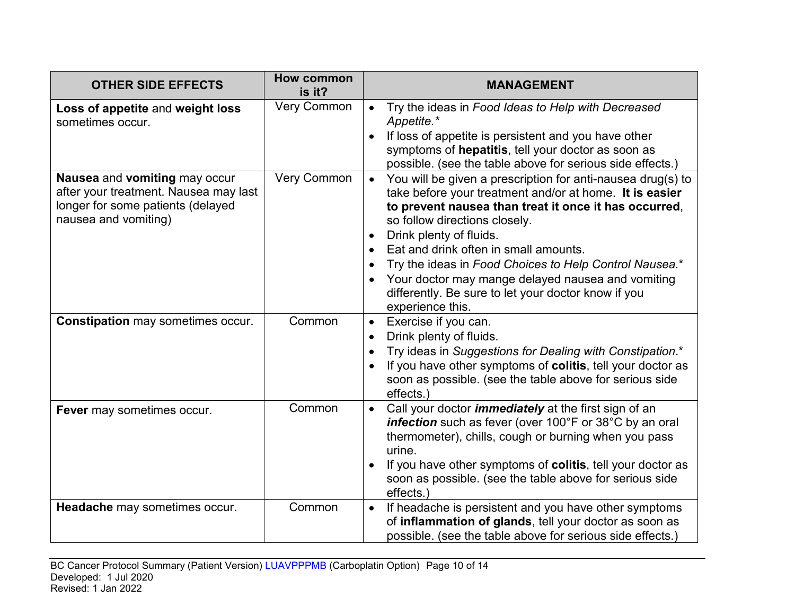| <b>OTHER SIDE EFFECTS</b>                                                                                                           | <b>How common</b><br>is it? | <b>MANAGEMENT</b>                                                                                                                                                                                                                                                                                                                                                                                                                                                                           |
|-------------------------------------------------------------------------------------------------------------------------------------|-----------------------------|---------------------------------------------------------------------------------------------------------------------------------------------------------------------------------------------------------------------------------------------------------------------------------------------------------------------------------------------------------------------------------------------------------------------------------------------------------------------------------------------|
| Loss of appetite and weight loss<br>sometimes occur.                                                                                | <b>Very Common</b>          | Try the ideas in Food Ideas to Help with Decreased<br>$\bullet$<br>Appetite.*<br>If loss of appetite is persistent and you have other<br>symptoms of hepatitis, tell your doctor as soon as<br>possible. (see the table above for serious side effects.)                                                                                                                                                                                                                                    |
| Nausea and vomiting may occur<br>after your treatment. Nausea may last<br>longer for some patients (delayed<br>nausea and vomiting) | Very Common                 | You will be given a prescription for anti-nausea drug(s) to<br>$\bullet$<br>take before your treatment and/or at home. It is easier<br>to prevent nausea than treat it once it has occurred,<br>so follow directions closely.<br>Drink plenty of fluids.<br>Eat and drink often in small amounts.<br>Try the ideas in Food Choices to Help Control Nausea.*<br>Your doctor may mange delayed nausea and vomiting<br>differently. Be sure to let your doctor know if you<br>experience this. |
| <b>Constipation may sometimes occur.</b>                                                                                            | Common                      | Exercise if you can.<br>$\bullet$<br>Drink plenty of fluids.<br>Try ideas in Suggestions for Dealing with Constipation.*<br>If you have other symptoms of colitis, tell your doctor as<br>soon as possible. (see the table above for serious side<br>effects.)                                                                                                                                                                                                                              |
| Fever may sometimes occur.                                                                                                          | Common                      | Call your doctor <i>immediately</i> at the first sign of an<br>$\bullet$<br>infection such as fever (over 100°F or 38°C by an oral<br>thermometer), chills, cough or burning when you pass<br>urine.<br>If you have other symptoms of colitis, tell your doctor as<br>soon as possible. (see the table above for serious side<br>effects.)                                                                                                                                                  |
| Headache may sometimes occur.                                                                                                       | Common                      | If headache is persistent and you have other symptoms<br>$\bullet$<br>of inflammation of glands, tell your doctor as soon as<br>possible. (see the table above for serious side effects.)                                                                                                                                                                                                                                                                                                   |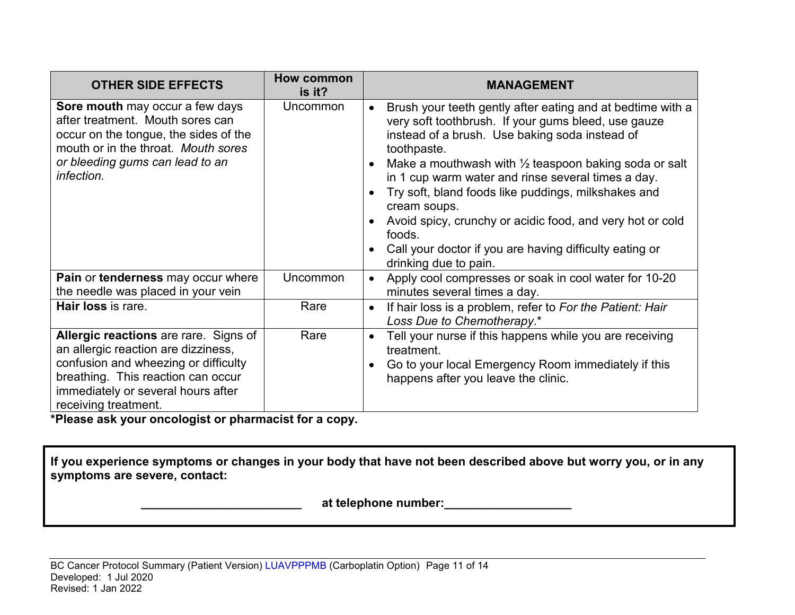| <b>OTHER SIDE EFFECTS</b>                                                                                                                                                                                                | <b>How common</b><br>is it? | <b>MANAGEMENT</b>                                                                                                                                                                                                                                                                                                                                                                                                                                                                                                                              |
|--------------------------------------------------------------------------------------------------------------------------------------------------------------------------------------------------------------------------|-----------------------------|------------------------------------------------------------------------------------------------------------------------------------------------------------------------------------------------------------------------------------------------------------------------------------------------------------------------------------------------------------------------------------------------------------------------------------------------------------------------------------------------------------------------------------------------|
| Sore mouth may occur a few days<br>after treatment. Mouth sores can<br>occur on the tongue, the sides of the<br>mouth or in the throat. Mouth sores<br>or bleeding gums can lead to an<br>infection.                     | Uncommon                    | Brush your teeth gently after eating and at bedtime with a<br>very soft toothbrush. If your gums bleed, use gauze<br>instead of a brush. Use baking soda instead of<br>toothpaste.<br>Make a mouthwash with $\frac{1}{2}$ teaspoon baking soda or salt<br>in 1 cup warm water and rinse several times a day.<br>Try soft, bland foods like puddings, milkshakes and<br>cream soups.<br>Avoid spicy, crunchy or acidic food, and very hot or cold<br>foods.<br>Call your doctor if you are having difficulty eating or<br>drinking due to pain. |
| Pain or tenderness may occur where<br>the needle was placed in your vein                                                                                                                                                 | Uncommon                    | Apply cool compresses or soak in cool water for 10-20<br>$\bullet$<br>minutes several times a day.                                                                                                                                                                                                                                                                                                                                                                                                                                             |
| Hair loss is rare.                                                                                                                                                                                                       | Rare                        | If hair loss is a problem, refer to For the Patient: Hair<br>$\bullet$<br>Loss Due to Chemotherapy.*                                                                                                                                                                                                                                                                                                                                                                                                                                           |
| Allergic reactions are rare. Signs of<br>an allergic reaction are dizziness,<br>confusion and wheezing or difficulty<br>breathing. This reaction can occur<br>immediately or several hours after<br>receiving treatment. | Rare                        | Tell your nurse if this happens while you are receiving<br>treatment.<br>Go to your local Emergency Room immediately if this<br>happens after you leave the clinic.                                                                                                                                                                                                                                                                                                                                                                            |

**\*Please ask your oncologist or pharmacist for a copy.**

**If you experience symptoms or changes in your body that have not been described above but worry you, or in any symptoms are severe, contact:**

 **\_\_\_\_\_\_\_\_\_\_\_\_\_\_\_\_\_\_\_\_\_\_\_\_ at telephone number:\_\_\_\_\_\_\_\_\_\_\_\_\_\_\_\_\_\_\_**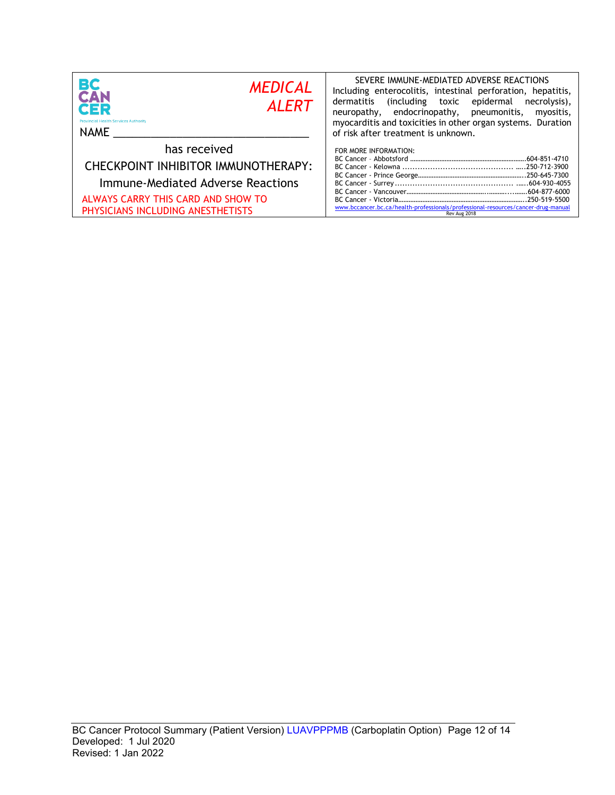| BС<br><b>MEDICAL</b><br>CAN<br><b>ALERT</b><br>CER<br><b>Provincial Health Services Authority</b><br><b>NAME</b>                                                    | SEVERE IMMUNE-MEDIATED ADVERSE REACTIONS<br>Including enterocolitis, intestinal perforation, hepatitis,<br>dermatitis<br>including toxic epidermal)<br>necrolysis),<br>neuropathy, endocrinopathy, pneumonitis,<br>myositis,<br>myocarditis and toxicities in other organ systems. Duration<br>of risk after treatment is unknown. |
|---------------------------------------------------------------------------------------------------------------------------------------------------------------------|------------------------------------------------------------------------------------------------------------------------------------------------------------------------------------------------------------------------------------------------------------------------------------------------------------------------------------|
| has received<br>CHECKPOINT INHIBITOR IMMUNOTHERAPY:<br>Immune-Mediated Adverse Reactions<br>ALWAYS CARRY THIS CARD AND SHOW TO<br>PHYSICIANS INCLUDING ANESTHETISTS | FOR MORE INFORMATION:<br>www.bccancer.bc.ca/health-professionals/professional-resources/cancer-drug-manual<br>Rev Aug 2018                                                                                                                                                                                                         |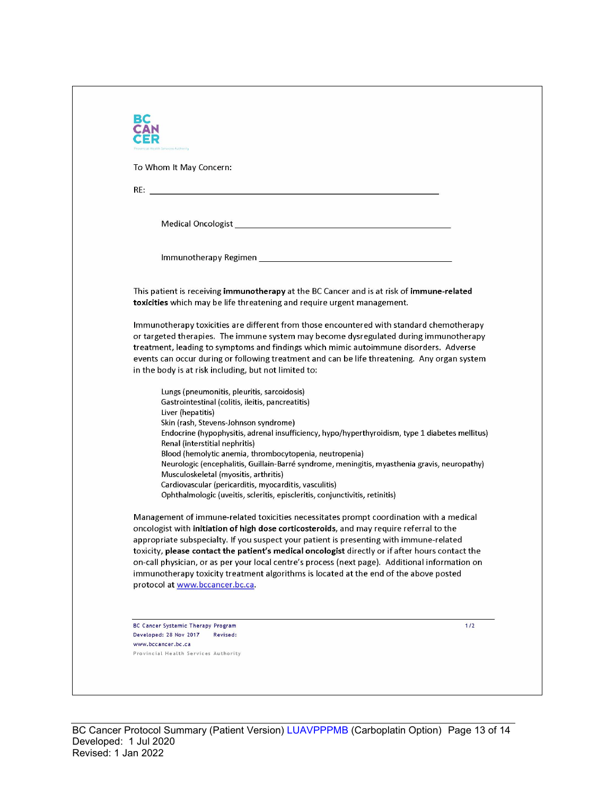| To Whom It May Concern:                                                                                                                                              |                                                                                                                                                                                   |
|----------------------------------------------------------------------------------------------------------------------------------------------------------------------|-----------------------------------------------------------------------------------------------------------------------------------------------------------------------------------|
|                                                                                                                                                                      |                                                                                                                                                                                   |
|                                                                                                                                                                      |                                                                                                                                                                                   |
|                                                                                                                                                                      |                                                                                                                                                                                   |
|                                                                                                                                                                      |                                                                                                                                                                                   |
| This patient is receiving immunotherapy at the BC Cancer and is at risk of immune-related<br>toxicities which may be life threatening and require urgent management. |                                                                                                                                                                                   |
|                                                                                                                                                                      | Immunotherapy toxicities are different from those encountered with standard chemotherapy<br>or targeted therapies. The immune system may become dysregulated during immunotherapy |
|                                                                                                                                                                      | treatment, leading to symptoms and findings which mimic autoimmune disorders. Adverse                                                                                             |
| in the body is at risk including, but not limited to:                                                                                                                | events can occur during or following treatment and can be life threatening. Any organ system                                                                                      |
| Lungs (pneumonitis, pleuritis, sarcoidosis)<br>Gastrointestinal (colitis, ileitis, pancreatitis)                                                                     |                                                                                                                                                                                   |
| Liver (hepatitis)<br>Skin (rash, Stevens-Johnson syndrome)                                                                                                           |                                                                                                                                                                                   |
| Renal (interstitial nephritis)                                                                                                                                       | Endocrine (hypophysitis, adrenal insufficiency, hypo/hyperthyroidism, type 1 diabetes mellitus)                                                                                   |
| Blood (hemolytic anemia, thrombocytopenia, neutropenia)                                                                                                              | Neurologic (encephalitis, Guillain-Barré syndrome, meningitis, myasthenia gravis, neuropathy)                                                                                     |
| Musculoskeletal (myositis, arthritis)                                                                                                                                |                                                                                                                                                                                   |
| Cardiovascular (pericarditis, myocarditis, vasculitis)<br>Ophthalmologic (uveitis, scleritis, episcleritis, conjunctivitis, retinitis)                               |                                                                                                                                                                                   |
| oncologist with initiation of high dose corticosteroids, and may require referral to the                                                                             | Management of immune-related toxicities necessitates prompt coordination with a medical                                                                                           |
| appropriate subspecialty. If you suspect your patient is presenting with immune-related                                                                              | toxicity, please contact the patient's medical oncologist directly or if after hours contact the                                                                                  |
|                                                                                                                                                                      | on-call physician, or as per your local centre's process (next page). Additional information on                                                                                   |
| immunotherapy toxicity treatment algorithms is located at the end of the above posted                                                                                |                                                                                                                                                                                   |
| protocol at www.bccancer.bc.ca.                                                                                                                                      |                                                                                                                                                                                   |
|                                                                                                                                                                      |                                                                                                                                                                                   |
| BC Cancer Systemic Therapy Program<br>Developed: 28 Nov 2017<br>Revised:                                                                                             | 1/2                                                                                                                                                                               |